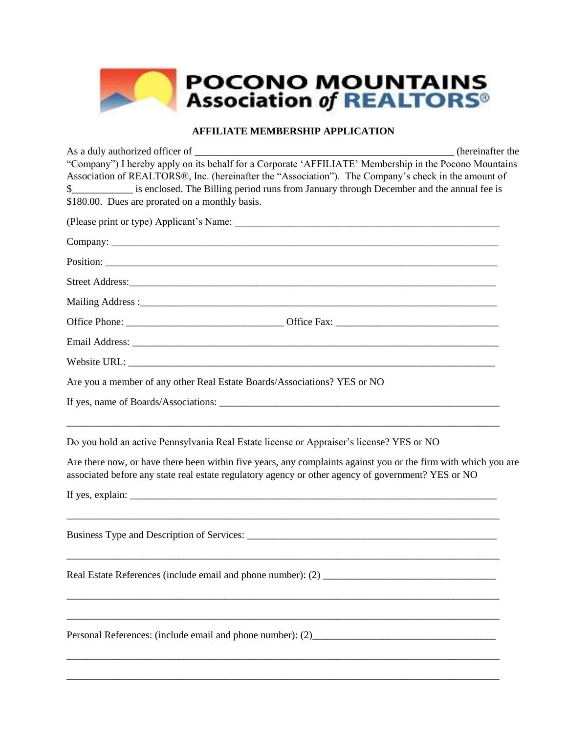

## **AFFILIATE MEMBERSHIP APPLICATION**

As a duly authorized officer of \_\_\_\_\_\_\_\_\_\_\_\_\_\_\_\_\_\_\_\_\_\_\_\_\_\_\_\_\_\_\_\_\_\_\_\_\_\_\_\_\_\_\_\_\_\_\_\_\_\_\_ (hereinafter the "Company") I hereby apply on its behalf for a Corporate 'AFFILIATE' Membership in the Pocono Mountains Association of REALTORS®, Inc. (hereinafter the "Association"). The Company's check in the amount of \$\_\_\_\_\_\_\_\_\_\_\_\_ is enclosed. The Billing period runs from January through December and the annual fee is \$180.00. Dues are prorated on a monthly basis. (Please print or type) Applicant's Name: Company: \_\_\_\_\_\_\_\_\_\_\_\_\_\_\_\_\_\_\_\_\_\_\_\_\_\_\_\_\_\_\_\_\_\_\_\_\_\_\_\_\_\_\_\_\_\_\_\_\_\_\_\_\_\_\_\_\_\_\_\_\_\_\_\_\_\_\_\_\_\_\_\_\_\_\_\_ Position: Street Address: Mailing Address :\_\_\_\_\_\_\_\_\_\_\_\_\_\_\_\_\_\_\_\_\_\_\_\_\_\_\_\_\_\_\_\_\_\_\_\_\_\_\_\_\_\_\_\_\_\_\_\_\_\_\_\_\_\_\_\_\_\_\_\_\_\_\_\_\_\_\_\_\_\_ Office Phone: \_\_\_\_\_\_\_\_\_\_\_\_\_\_\_\_\_\_\_\_\_\_\_\_\_\_\_\_\_\_\_ Office Fax: \_\_\_\_\_\_\_\_\_\_\_\_\_\_\_\_\_\_\_\_\_\_\_\_\_\_\_\_\_\_\_\_ Email Address: \_\_\_\_\_\_\_\_\_\_\_\_\_\_\_\_\_\_\_\_\_\_\_\_\_\_\_\_\_\_\_\_\_\_\_\_\_\_\_\_\_\_\_\_\_\_\_\_\_\_\_\_\_\_\_\_\_\_\_\_\_\_\_\_\_\_\_\_\_\_\_\_ Website URL: Are you a member of any other Real Estate Boards/Associations? YES or NO If yes, name of Boards/Associations: \_\_\_\_\_\_\_\_\_\_\_\_\_\_\_\_\_\_\_\_\_\_\_\_\_\_\_\_\_\_\_\_\_\_\_\_\_\_\_\_\_\_\_\_\_\_\_\_\_\_\_\_\_\_\_ \_\_\_\_\_\_\_\_\_\_\_\_\_\_\_\_\_\_\_\_\_\_\_\_\_\_\_\_\_\_\_\_\_\_\_\_\_\_\_\_\_\_\_\_\_\_\_\_\_\_\_\_\_\_\_\_\_\_\_\_\_\_\_\_\_\_\_\_\_\_\_\_\_\_\_\_\_\_\_\_\_\_\_\_\_ Do you hold an active Pennsylvania Real Estate license or Appraiser's license? YES or NO Are there now, or have there been within five years, any complaints against you or the firm with which you are associated before any state real estate regulatory agency or other agency of government? YES or NO If yes, explain: \_\_\_\_\_\_\_\_\_\_\_\_\_\_\_\_\_\_\_\_\_\_\_\_\_\_\_\_\_\_\_\_\_\_\_\_\_\_\_\_\_\_\_\_\_\_\_\_\_\_\_\_\_\_\_\_\_\_\_\_\_\_\_\_\_\_\_\_\_\_\_\_\_\_\_\_\_\_\_\_\_\_\_\_\_ Business Type and Description of Services: \_\_\_\_\_\_\_\_\_\_\_\_\_\_\_\_\_\_\_\_\_\_\_\_\_\_\_\_\_\_\_\_\_\_\_\_\_\_\_\_\_\_\_\_\_\_\_\_\_ \_\_\_\_\_\_\_\_\_\_\_\_\_\_\_\_\_\_\_\_\_\_\_\_\_\_\_\_\_\_\_\_\_\_\_\_\_\_\_\_\_\_\_\_\_\_\_\_\_\_\_\_\_\_\_\_\_\_\_\_\_\_\_\_\_\_\_\_\_\_\_\_\_\_\_\_\_\_\_\_\_\_\_\_\_ Real Estate References (include email and phone number): (2) \_\_\_\_\_\_\_\_\_\_\_\_\_\_\_\_\_\_\_\_\_\_\_\_\_\_\_\_\_\_\_\_\_\_\_\_\_\_\_\_\_\_\_\_\_\_\_\_\_\_\_\_\_\_\_\_\_\_\_\_\_\_\_\_\_\_\_\_\_\_\_\_\_\_\_\_\_\_\_\_\_\_\_\_\_ \_\_\_\_\_\_\_\_\_\_\_\_\_\_\_\_\_\_\_\_\_\_\_\_\_\_\_\_\_\_\_\_\_\_\_\_\_\_\_\_\_\_\_\_\_\_\_\_\_\_\_\_\_\_\_\_\_\_\_\_\_\_\_\_\_\_\_\_\_\_\_\_\_\_\_\_\_\_\_\_\_\_\_\_\_ Personal References: (include email and phone number): (2)\_\_\_\_\_\_\_\_\_\_\_\_\_\_\_\_\_\_\_\_\_\_\_ \_\_\_\_\_\_\_\_\_\_\_\_\_\_\_\_\_\_\_\_\_\_\_\_\_\_\_\_\_\_\_\_\_\_\_\_\_\_\_\_\_\_\_\_\_\_\_\_\_\_\_\_\_\_\_\_\_\_\_\_\_\_\_\_\_\_\_\_\_\_\_\_\_\_\_\_\_\_\_\_\_\_\_\_\_

\_\_\_\_\_\_\_\_\_\_\_\_\_\_\_\_\_\_\_\_\_\_\_\_\_\_\_\_\_\_\_\_\_\_\_\_\_\_\_\_\_\_\_\_\_\_\_\_\_\_\_\_\_\_\_\_\_\_\_\_\_\_\_\_\_\_\_\_\_\_\_\_\_\_\_\_\_\_\_\_\_\_\_\_\_